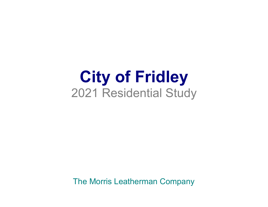## **City of Fridley** 2021 Residential Study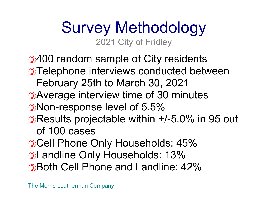## Survey Methodology 2021 City of Fridley

400 random sample of City residents Telephone interviews conducted between February 25th to March 30, 2021 Average interview time of 30 minutes Non-response level of 5.5% Results projectable within +/-5.0% in 95 out of 100 casesCell Phone Only Households: 45% Landline Only Households: 13% Both Cell Phone and Landline: 42%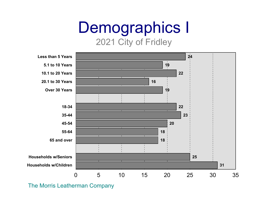# Demographics I

#### 2021 City of Fridley

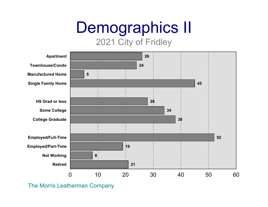## Demographics II

2021 City of Fridley

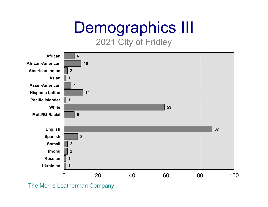## Demographics III

2021 City of Fridley

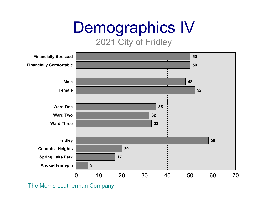# Demographics IV

#### 2021 City of Fridley

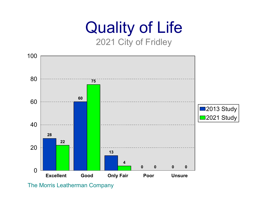## Quality of Life 2021 City of Fridley

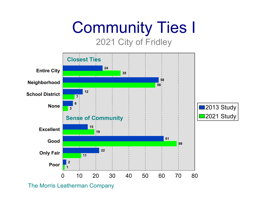# Community Ties I

2021 City of Fridley

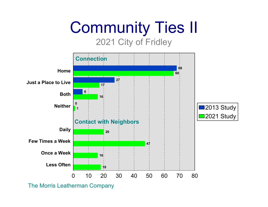## Community Ties II 2021 City of Fridley

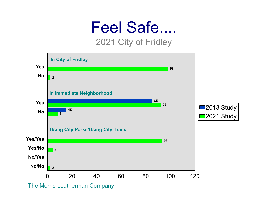## Feel Safe....

#### 2021 City of Fridley

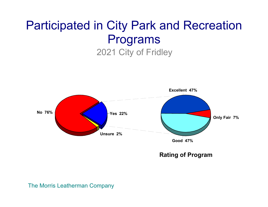### Participated in City Park and Recreation Programs 2021 City of Fridley

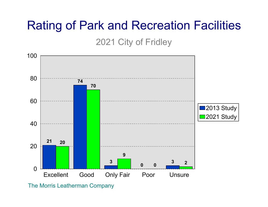### Rating of Park and Recreation Facilities

2021 City of Fridley

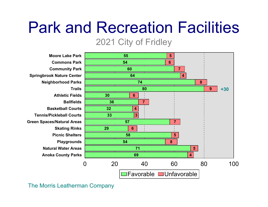## Park and Recreation Facilities

#### 2021 City of Fridley

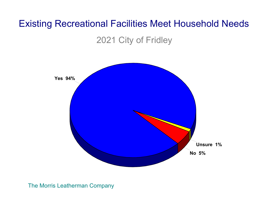### Existing Recreational Facilities Meet Household Needs

2021 City of Fridley

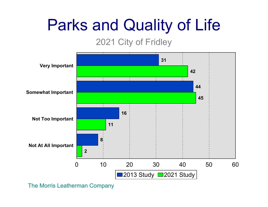## Parks and Quality of Life

### 2021 City of Fridley

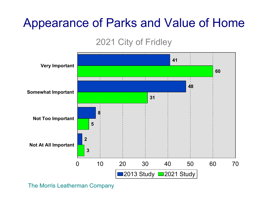## Appearance of Parks and Value of Home

### 2021 City of Fridley

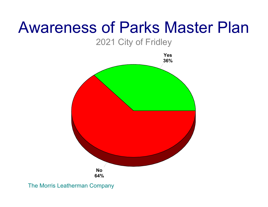## Awareness of Parks Master Plan

2021 City of Fridley

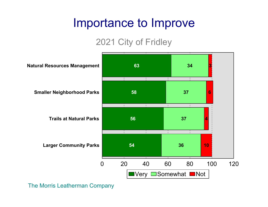### Importance to Improve

### 2021 City of Fridley

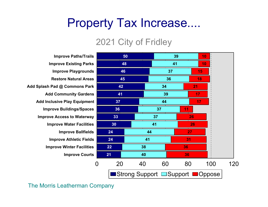### Property Tax Increase....

#### 2021 City of Fridley

**Improve Paths/Trails Improve Existing Parks Improve Playgrounds Restore Natural AreasAdd Splash Pad @ Commons Park Add Community Gardens Add Inclusive Play Equipment Improve Buildings/Spaces Improve Access to Waterway Improve Water Facilities Improve Ballfields Improve Athletic Fields Improve Winter Facilities Improve Courts**